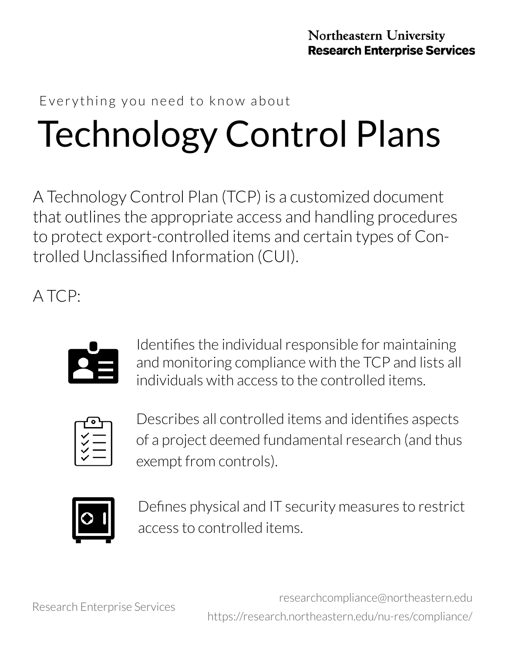#### Everything you need to know about

## Technology Control Plans

A Technology Control Plan (TCP) is a customized document that outlines the appropriate access and handling procedures to protect export-controlled items and certain types of Controlled Unclassified Information (CUI).

A TCP:



Identifies the individual responsible for maintaining and monitoring compliance with the TCP and lists all individuals with access to the controlled items.



Describes all controlled items and identifies aspects of a project deemed fundamental research (and thus exempt from controls).



Defines physical and IT security measures to restrict access to controlled items.

researchcompliance@northeastern.edu [https://research.northeastern.edu/nu](https://research.northeastern.edu/nu-res/compliance/)-res/compliance/